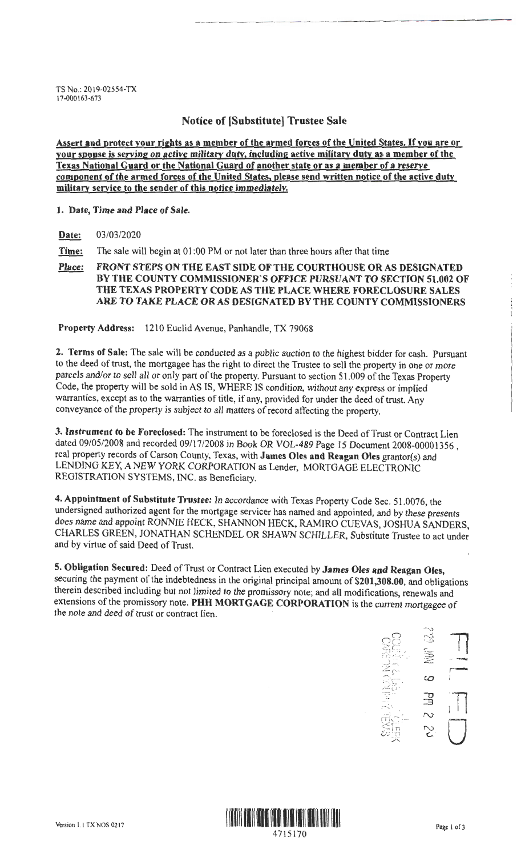TS No.: 2019:02554-TX 17-000163-673

## **Notice of [Substitute] Trustee Sale**

**Assert and protect your rights as a member of the armed forces of the United States.** If **you are or your spouse is serving on active military duty, including active military duty as a member of the Texas National Guard or the National Guard of another state or as a member of a reserve component of the armed forces of the United States, please send written notice of the active duty military service to the sender of this notice immediately.** 

#### **1. Date, Time and Place of Sale.**

**Date:** 03/03/2020

**Time:** The sale will begin at 01 :00 PM or not later than three hours after that time

**Place: FRONT STEPS ON THE EAST SIDE OF THE COURTHOUSE OR AS DESIGNATED BY THE COUNTY COMMISSIONER'S OFFICE PURSUANT TO SECTION 51.002 OF THE TEXAS PROPERTY CODE AS THE PLACE WHERE FORECLOSURE SALES ARE TO TAKE PLACE OR AS DESIGNATED BY THE COUNTY COMMISSIONERS** 

**Property Address:** 1210 Euclid Avenue, Panhandle, TX 79068

**2. Terms of Sale:** The sale will be conducted as a public auction to the highest bidder for cash. Pursuant to the deed of trust, the mortgagee has the right to direct the Trustee to sell the property in one or more parcels and/or to sell all or only part of the property. Pursuant to section 51.009 of the Texas Property Code, the property will be sold in AS IS, WHERE IS condition, without any express or implied warranties, except as to the warranties of title, if any, provided for under the deed of trust. Any conveyance of the property is subject to all matters of record affecting the property.

**3. Instrument to be Foreclosed:** The instrument to be foreclosed is the Deed of Trust or Contract Lien dated 09/05/2008 and recorded 09/17/2008 in Book OR VOL-489 Page 15 Document 2008-00001356 , real property records of Carson County, Texas, with **James Oles and Reagan Oles** grantor(s) and LENDING KEY, A NEW YORK CORPORATION as Lender, MORTGAGE ELECTRONIC REGISTRATION SYSTEMS, INC. as Beneficiary.

**4. Appointment of Substitute Trustee:** In accordance with Texas Property Code Sec. 51 .0076, the undersigned authorized agent for the mortgage servicer has named and appointed, and by these presents does name and appoint RONNIE HECK, SHANNON HECK, RAMIRO CUEVAS, JOSHUA SANDERS, CHARLES GREEN, JONATHAN SCHENDEL OR SHAWN SCHILLER, Substitute Trustee to act under and by virtue of said Deed of Trust.

**5. Obligation Secured:** Deed of Trust or Contract Lien executed by **James Oles and Reagan Oles,**  securing the payment of the indebtedness in the original principal amount of **\$201,308.00,** and obligations therein described including but not limited to the promissory note; and all modifications, renewals and extensions of the promissory note. **PHH MORTGAGE CORPORATION** is the current mortgagee of the note and deed of trust or contract lien.



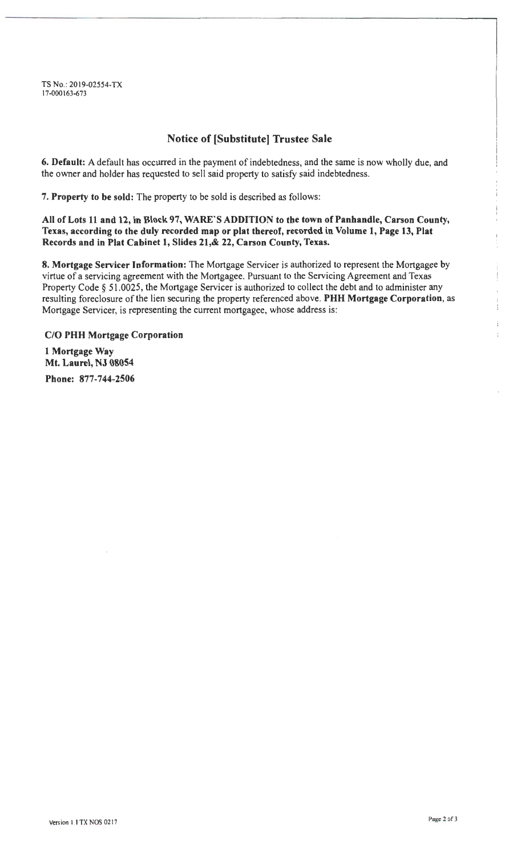TS No.: 2019-02554-TX 17-000163-673

# **Notice of [Substitute] Trustee Sale**

**6. Default:** A default has occurred in the payment of indebtedness, and the same is now wholly due, and the owner and holder has requested to sell said property to satisfy said indebtedness.

7. **Property to be sold:** The property to be sold is described as follows:

**All of Lots 11 and 12, in Block 97, WARE'S ADDITION to the town of Panhandle, Carson County, Texas, according to the duly recorded map or plat thereof, recorded in Volume 1, Page 13, Plat Records and in Plat Cabinet 1, Slides 21,& 22, Carson County, Texas.** 

**8. Mortgage Servicer Information:** The Mortgage Servicer is authorized to represent the Mortgagee by virtue of a servicing agreement with the Mortgagee. Pursuant to the Servicing Agreement and Texas Property Code § 51.0025, the Mortgage Servicer is authorized to collect the debt and to administer any resulting foreclosure of the lien securing the property referenced above. **PHH Mortgage Corporation,** as Mortgage Servicer, is representing the current mortgagee, whose address is:

**C/0 PHH Mortgage Corporation 1 Mortgage Way Mt. Laurel, NJ 08054 Phone: 877-744-2506**